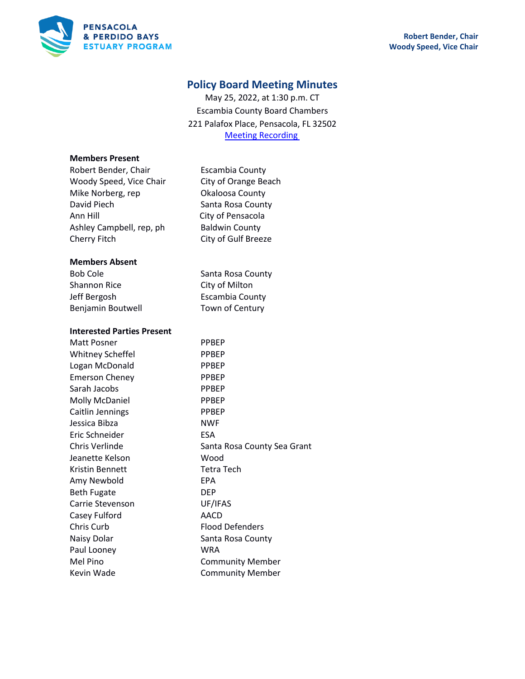

# **Policy Board Meeting Minutes**

May 25, 2022, at 1:30 p.m. CT Escambia County Board Chambers 221 Palafox Place, Pensacola, FL 32502 [Meeting Recording](https://youtu.be/a1XO43AYMks)

#### **Members Present**

| Robert Bender, Chair     |
|--------------------------|
| Woody Speed, Vice Chair  |
| Mike Norberg, rep        |
| David Piech              |
| Ann Hill                 |
| Ashley Campbell, rep, ph |
| Cherry Fitch             |

City of Orange Beach Okaloosa County Santa Rosa County City of Pensacola **Baldwin County** City of Gulf Breeze

Escambia County

#### **Members Absent**

Bob Cole Santa Rosa County Shannon Rice City of Milton Jeff Bergosh **Escambia County** Benjamin Boutwell **Town of Century** 

### **Interested Parties Present**

| Matt Posner             | <b>PPBEP</b>                |
|-------------------------|-----------------------------|
| <b>Whitney Scheffel</b> | <b>PPBEP</b>                |
| Logan McDonald          | <b>PPBEP</b>                |
| <b>Emerson Cheney</b>   | <b>PPBEP</b>                |
| Sarah Jacobs            | <b>PPBEP</b>                |
| <b>Molly McDaniel</b>   | <b>PPBEP</b>                |
| Caitlin Jennings        | <b>PPBEP</b>                |
| Jessica Bibza           | <b>NWF</b>                  |
| Eric Schneider          | <b>ESA</b>                  |
| Chris Verlinde          | Santa Rosa County Sea Grant |
| Jeanette Kelson         | Wood                        |
| <b>Kristin Bennett</b>  | Tetra Tech                  |
| Amy Newbold             | <b>EPA</b>                  |
| <b>Beth Fugate</b>      | <b>DEP</b>                  |
| Carrie Stevenson        | UF/IFAS                     |
| Casey Fulford           | AACD                        |
| Chris Curb              | <b>Flood Defenders</b>      |
| Naisy Dolar             | Santa Rosa County           |
| Paul Looney             | WRA                         |
| Mel Pino                | <b>Community Member</b>     |
| Kevin Wade              | <b>Community Member</b>     |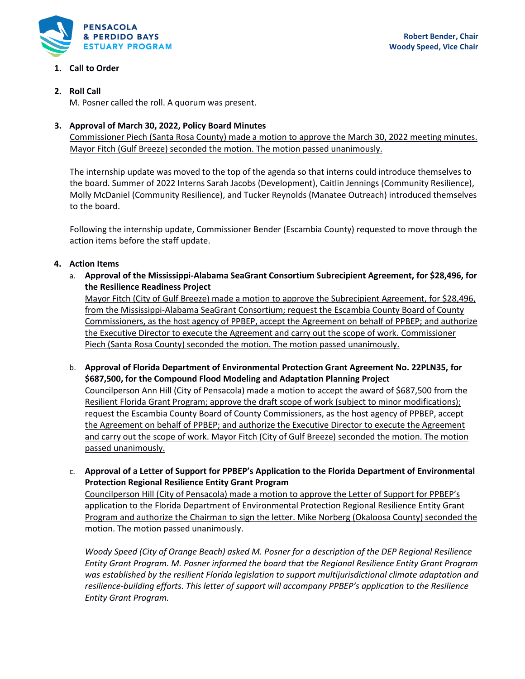

# **1. Call to Order**

# **2. Roll Call**

M. Posner called the roll. A quorum was present.

# **3. Approval of March 30, 2022, Policy Board Minutes**

Commissioner Piech (Santa Rosa County) made a motion to approve the March 30, 2022 meeting minutes. Mayor Fitch (Gulf Breeze) seconded the motion. The motion passed unanimously.

The internship update was moved to the top of the agenda so that interns could introduce themselves to the board. Summer of 2022 Interns Sarah Jacobs (Development), Caitlin Jennings (Community Resilience), Molly McDaniel (Community Resilience), and Tucker Reynolds (Manatee Outreach) introduced themselves to the board.

Following the internship update, Commissioner Bender (Escambia County) requested to move through the action items before the staff update.

# **4. Action Items**

a. **Approval of the Mississippi-Alabama SeaGrant Consortium Subrecipient Agreement, for \$28,496, for the Resilience Readiness Project**

Mayor Fitch (City of Gulf Breeze) made a motion to approve the Subrecipient Agreement, for \$28,496, from the Mississippi-Alabama SeaGrant Consortium; request the Escambia County Board of County Commissioners, as the host agency of PPBEP, accept the Agreement on behalf of PPBEP; and authorize the Executive Director to execute the Agreement and carry out the scope of work. Commissioner Piech (Santa Rosa County) seconded the motion. The motion passed unanimously.

- b. **Approval of Florida Department of Environmental Protection Grant Agreement No. 22PLN35, for \$687,500, for the Compound Flood Modeling and Adaptation Planning Project** Councilperson Ann Hill (City of Pensacola) made a motion to accept the award of \$687,500 from the Resilient Florida Grant Program; approve the draft scope of work (subject to minor modifications); request the Escambia County Board of County Commissioners, as the host agency of PPBEP, accept the Agreement on behalf of PPBEP; and authorize the Executive Director to execute the Agreement and carry out the scope of work. Mayor Fitch (City of Gulf Breeze) seconded the motion. The motion passed unanimously.
- c. **Approval of a Letter of Support for PPBEP's Application to the Florida Department of Environmental Protection Regional Resilience Entity Grant Program**

Councilperson Hill (City of Pensacola) made a motion to approve the Letter of Support for PPBEP's application to the Florida Department of Environmental Protection Regional Resilience Entity Grant Program and authorize the Chairman to sign the letter. Mike Norberg (Okaloosa County) seconded the motion. The motion passed unanimously.

*Woody Speed (City of Orange Beach) asked M. Posner for a description of the DEP Regional Resilience Entity Grant Program. M. Posner informed the board that the Regional Resilience Entity Grant Program was established by the resilient Florida legislation to support multijurisdictional climate adaptation and resilience-building efforts. This letter of support will accompany PPBEP's application to the Resilience Entity Grant Program.*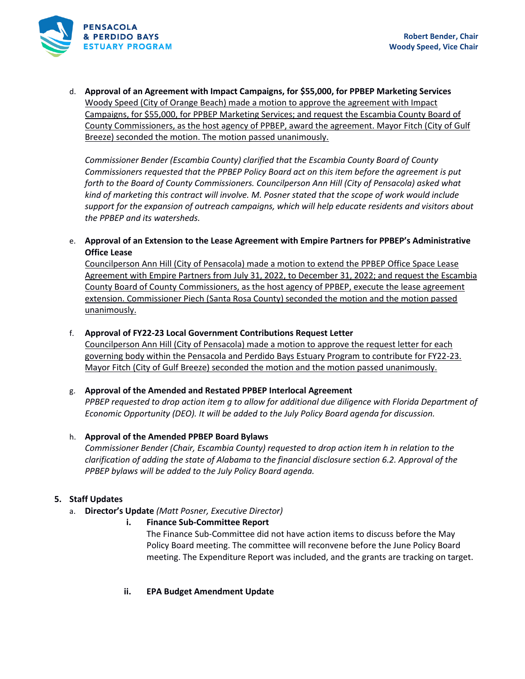

d. **Approval of an Agreement with Impact Campaigns, for \$55,000, for PPBEP Marketing Services** Woody Speed (City of Orange Beach) made a motion to approve the agreement with Impact Campaigns, for \$55,000, for PPBEP Marketing Services; and request the Escambia County Board of County Commissioners, as the host agency of PPBEP, award the agreement. Mayor Fitch (City of Gulf Breeze) seconded the motion. The motion passed unanimously.

*Commissioner Bender (Escambia County) clarified that the Escambia County Board of County Commissioners requested that the PPBEP Policy Board act on this item before the agreement is put forth to the Board of County Commissioners. Councilperson Ann Hill (City of Pensacola) asked what kind of marketing this contract will involve. M. Posner stated that the scope of work would include support for the expansion of outreach campaigns, which will help educate residents and visitors about the PPBEP and its watersheds.* 

e. **Approval of an Extension to the Lease Agreement with Empire Partners for PPBEP's Administrative Office Lease**

Councilperson Ann Hill (City of Pensacola) made a motion to extend the PPBEP Office Space Lease Agreement with Empire Partners from July 31, 2022, to December 31, 2022; and request the Escambia County Board of County Commissioners, as the host agency of PPBEP, execute the lease agreement extension. Commissioner Piech (Santa Rosa County) seconded the motion and the motion passed unanimously.

# f. **Approval of FY22-23 Local Government Contributions Request Letter**

Councilperson Ann Hill (City of Pensacola) made a motion to approve the request letter for each governing body within the Pensacola and Perdido Bays Estuary Program to contribute for FY22-23. Mayor Fitch (City of Gulf Breeze) seconded the motion and the motion passed unanimously.

#### g. **Approval of the Amended and Restated PPBEP Interlocal Agreement**

*PPBEP requested to drop action item g to allow for additional due diligence with Florida Department of Economic Opportunity (DEO). It will be added to the July Policy Board agenda for discussion.*

# h. **Approval of the Amended PPBEP Board Bylaws**

*Commissioner Bender (Chair, Escambia County) requested to drop action item h in relation to the clarification of adding the state of Alabama to the financial disclosure section 6.2. Approval of the PPBEP bylaws will be added to the July Policy Board agenda.* 

# **5. Staff Updates**

- a. **Director's Update** *(Matt Posner, Executive Director)*
	- **i. Finance Sub-Committee Report**

The Finance Sub-Committee did not have action items to discuss before the May Policy Board meeting. The committee will reconvene before the June Policy Board meeting. The Expenditure Report was included, and the grants are tracking on target.

**ii. EPA Budget Amendment Update**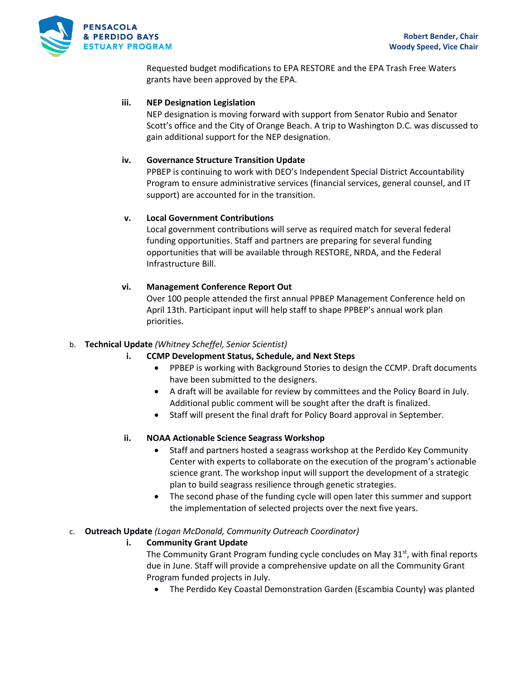

Requested budget modifications to EPA RESTORE and the EPA Trash Free Waters grants have been approved by the EPA.

### **iii. NEP Designation Legislation**

NEP designation is moving forward with support from Senator Rubio and Senator Scott's office and the City of Orange Beach. A trip to Washington D.C. was discussed to gain additional support for the NEP designation.

### **iv. Governance Structure Transition Update**

PPBEP is continuing to work with DEO's Independent Special District Accountability Program to ensure administrative services (financial services, general counsel, and IT support) are accounted for in the transition.

### **v. Local Government Contributions**

Local government contributions will serve as required match for several federal funding opportunities. Staff and partners are preparing for several funding opportunities that will be available through RESTORE, NRDA, and the Federal Infrastructure Bill.

### **vi. Management Conference Report Out**

Over 100 people attended the first annual PPBEP Management Conference held on April 13th. Participant input will help staff to shape PPBEP's annual work plan priorities.

# b. **Technical Update** *(Whitney Scheffel, Senior Scientist)*

- **i. CCMP Development Status, Schedule, and Next Steps**
	- PPBEP is working with Background Stories to design the CCMP. Draft documents have been submitted to the designers.
	- A draft will be available for review by committees and the Policy Board in July. Additional public comment will be sought after the draft is finalized.
	- Staff will present the final draft for Policy Board approval in September.

# **ii. NOAA Actionable Science Seagrass Workshop**

- Staff and partners hosted a seagrass workshop at the Perdido Key Community Center with experts to collaborate on the execution of the program's actionable science grant. The workshop input will support the development of a strategic plan to build seagrass resilience through genetic strategies.
- The second phase of the funding cycle will open later this summer and support the implementation of selected projects over the next five years.

#### c. **Outreach Update** *(Logan McDonald, Community Outreach Coordinator)*

# **i. Community Grant Update**

The Community Grant Program funding cycle concludes on May 31<sup>st</sup>, with final reports due in June. Staff will provide a comprehensive update on all the Community Grant Program funded projects in July.

• The Perdido Key Coastal Demonstration Garden (Escambia County) was planted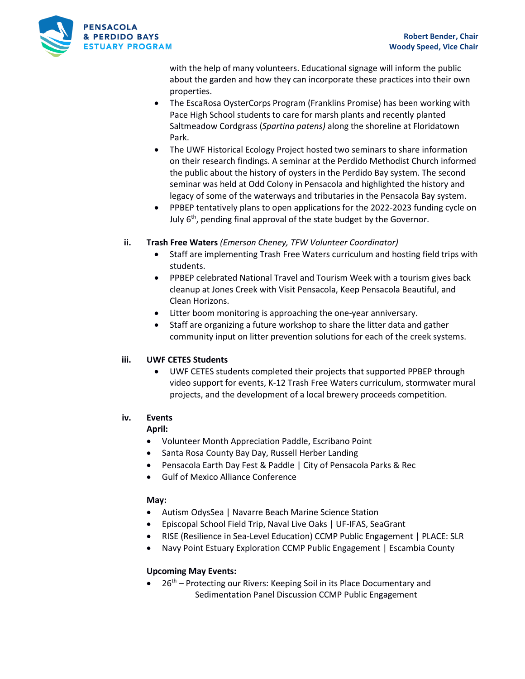

with the help of many volunteers. Educational signage will inform the public about the garden and how they can incorporate these practices into their own properties.

- The EscaRosa OysterCorps Program (Franklins Promise) has been working with Pace High School students to care for marsh plants and recently planted Saltmeadow Cordgrass (*Spartina patens)* along the shoreline at Floridatown Park.
- The UWF Historical Ecology Project hosted two seminars to share information on their research findings. A seminar at the Perdido Methodist Church informed the public about the history of oysters in the Perdido Bay system. The second seminar was held at Odd Colony in Pensacola and highlighted the history and legacy of some of the waterways and tributaries in the Pensacola Bay system.
- PPBEP tentatively plans to open applications for the 2022-2023 funding cycle on July  $6<sup>th</sup>$ , pending final approval of the state budget by the Governor.

# **ii. Trash Free Waters** *(Emerson Cheney, TFW Volunteer Coordinator)*

- Staff are implementing Trash Free Waters curriculum and hosting field trips with students.
- PPBEP celebrated National Travel and Tourism Week with a tourism gives back cleanup at Jones Creek with Visit Pensacola, Keep Pensacola Beautiful, and Clean Horizons.
- Litter boom monitoring is approaching the one-year anniversary.
- Staff are organizing a future workshop to share the litter data and gather community input on litter prevention solutions for each of the creek systems.

# **iii. UWF CETES Students**

• UWF CETES students completed their projects that supported PPBEP through video support for events, K-12 Trash Free Waters curriculum, stormwater mural projects, and the development of a local brewery proceeds competition.

# **iv. Events**

# **April:**

- Volunteer Month Appreciation Paddle, Escribano Point
- Santa Rosa County Bay Day, Russell Herber Landing
- Pensacola Earth Day Fest & Paddle | City of Pensacola Parks & Rec
- Gulf of Mexico Alliance Conference

# **May:**

- Autism OdysSea | Navarre Beach Marine Science Station
- Episcopal School Field Trip, Naval Live Oaks | UF-IFAS, SeaGrant
	- RISE (Resilience in Sea-Level Education) CCMP Public Engagement | PLACE: SLR
- Navy Point Estuary Exploration CCMP Public Engagement | Escambia County

# **Upcoming May Events:**

 $26<sup>th</sup>$  – Protecting our Rivers: Keeping Soil in its Place Documentary and Sedimentation Panel Discussion CCMP Public Engagement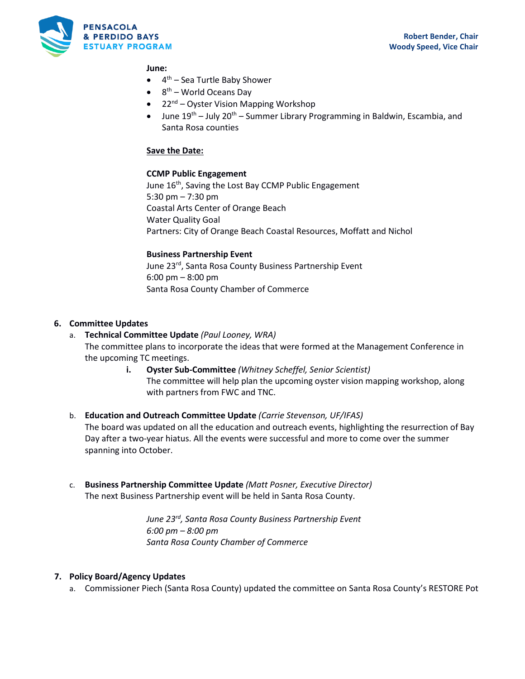

#### **June:**

- 4<sup>th</sup> Sea Turtle Baby Shower
- 8<sup>th</sup> World Oceans Day
- 22<sup>nd</sup> Oyster Vision Mapping Workshop
- June  $19^{th}$  July 20<sup>th</sup> Summer Library Programming in Baldwin, Escambia, and Santa Rosa counties

### **Save the Date:**

### **CCMP Public Engagement**

June 16<sup>th</sup>, Saving the Lost Bay CCMP Public Engagement 5:30 pm – 7:30 pm Coastal Arts Center of Orange Beach Water Quality Goal Partners: City of Orange Beach Coastal Resources, Moffatt and Nichol

### **Business Partnership Event**

June 23<sup>rd</sup>, Santa Rosa County Business Partnership Event 6:00 pm – 8:00 pm Santa Rosa County Chamber of Commerce

# **6. Committee Updates**

- a. **Technical Committee Update** *(Paul Looney, WRA)* The committee plans to incorporate the ideas that were formed at the Management Conference in the upcoming TC meetings.
	- **i. Oyster Sub-Committee** *(Whitney Scheffel, Senior Scientist)* The committee will help plan the upcoming oyster vision mapping workshop, along with partners from FWC and TNC.
- b. **Education and Outreach Committee Update** *(Carrie Stevenson, UF/IFAS)* The board was updated on all the education and outreach events, highlighting the resurrection of Bay Day after a two-year hiatus. All the events were successful and more to come over the summer spanning into October.
- c. **Business Partnership Committee Update** *(Matt Posner, Executive Director)* The next Business Partnership event will be held in Santa Rosa County.

*June 23rd, Santa Rosa County Business Partnership Event 6:00 pm – 8:00 pm Santa Rosa County Chamber of Commerce*

# **7. Policy Board/Agency Updates**

a. Commissioner Piech (Santa Rosa County) updated the committee on Santa Rosa County's RESTORE Pot